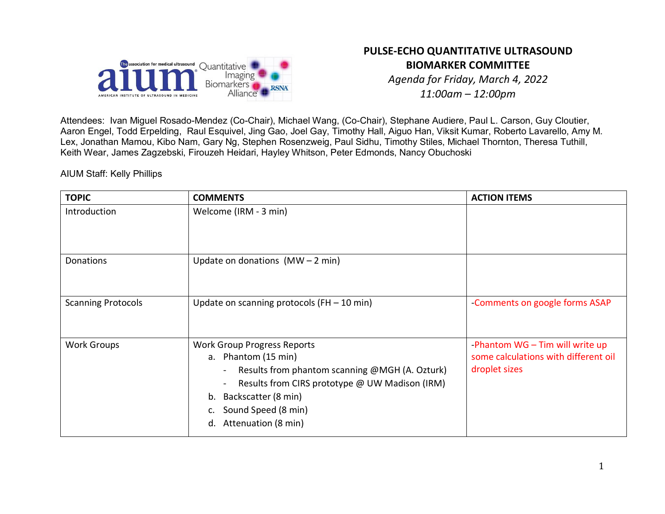

# **PULSE-ECHO QUANTITATIVE ULTRASOUND BIOMARKER COMMITTEE**

*Agenda for Friday, March 4, 2022 11:00am – 12:00pm*

Attendees: Ivan Miguel Rosado-Mendez (Co-Chair), Michael Wang, (Co-Chair), Stephane Audiere, Paul L. Carson, Guy Cloutier, Aaron Engel, Todd Erpelding, Raul Esquivel, Jing Gao, Joel Gay, Timothy Hall, Aiguo Han, Viksit Kumar, Roberto Lavarello, Amy M. Lex, Jonathan Mamou, Kibo Nam, Gary Ng, Stephen Rosenzweig, Paul Sidhu, Timothy Stiles, Michael Thornton, Theresa Tuthill, Keith Wear, James Zagzebski, Firouzeh Heidari, Hayley Whitson, Peter Edmonds, Nancy Obuchoski

AIUM Staff: Kelly Phillips

| <b>TOPIC</b>              | <b>COMMENTS</b>                                                                                                                                                                                                                                | <b>ACTION ITEMS</b>                                                                        |
|---------------------------|------------------------------------------------------------------------------------------------------------------------------------------------------------------------------------------------------------------------------------------------|--------------------------------------------------------------------------------------------|
| Introduction              | Welcome (IRM - 3 min)                                                                                                                                                                                                                          |                                                                                            |
| Donations                 | Update on donations $(MW - 2 min)$                                                                                                                                                                                                             |                                                                                            |
| <b>Scanning Protocols</b> | Update on scanning protocols (FH $-$ 10 min)                                                                                                                                                                                                   | Comments on google forms ASAP                                                              |
| <b>Work Groups</b>        | <b>Work Group Progress Reports</b><br>a. Phantom (15 min)<br>Results from phantom scanning @MGH (A. Ozturk)<br>Results from CIRS prototype @ UW Madison (IRM)<br>Backscatter (8 min)<br>b.<br>Sound Speed (8 min)<br>Attenuation (8 min)<br>d. | -Phantom $WG - Tim$ will write up<br>some calculations with different oil<br>droplet sizes |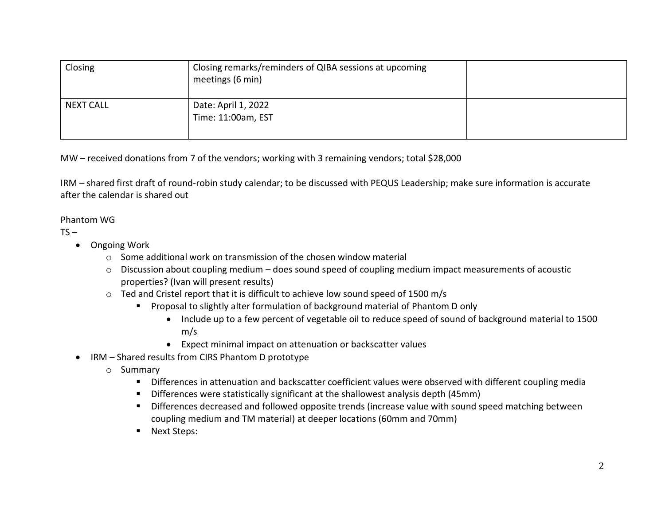| Closing          | Closing remarks/reminders of QIBA sessions at upcoming<br>meetings (6 min) |  |
|------------------|----------------------------------------------------------------------------|--|
| <b>NEXT CALL</b> | Date: April 1, 2022<br>Time: 11:00am, EST                                  |  |

MW – received donations from 7 of the vendors; working with 3 remaining vendors; total \$28,000

IRM – shared first draft of round-robin study calendar; to be discussed with PEQUS Leadership; make sure information is accurate after the calendar is shared out

### Phantom WG

### $TS -$

- Ongoing Work
	- $\circ$  Some additional work on transmission of the chosen window material
	- o Discussion about coupling medium does sound speed of coupling medium impact measurements of acoustic properties? (Ivan will present results)
	- o Ted and Cristel report that it is difficult to achieve low sound speed of 1500 m/s
		- Proposal to slightly alter formulation of background material of Phantom D only
			- Include up to a few percent of vegetable oil to reduce speed of sound of background material to 1500 m/s
			- Expect minimal impact on attenuation or backscatter values
- IRM Shared results from CIRS Phantom D prototype
	- o Summary
		- **•** Differences in attenuation and backscatter coefficient values were observed with different coupling media
		- Differences were statistically significant at the shallowest analysis depth (45mm)
		- Differences decreased and followed opposite trends (increase value with sound speed matching between coupling medium and TM material) at deeper locations (60mm and 70mm)
		- **Next Steps:**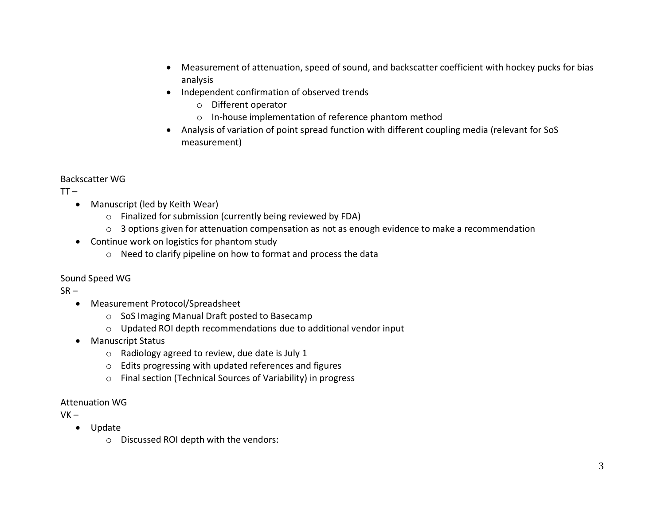- Measurement of attenuation, speed of sound, and backscatter coefficient with hockey pucks for bias analysis
- Independent confirmation of observed trends
	- o Different operator
	- o In-house implementation of reference phantom method
- Analysis of variation of point spread function with different coupling media (relevant for SoS measurement)

## Backscatter WG

 $TT -$ 

- Manuscript (led by Keith Wear)
	- o Finalized for submission (currently being reviewed by FDA)
	- o 3 options given for attenuation compensation as not as enough evidence to make a recommendation
- Continue work on logistics for phantom study
	- o Need to clarify pipeline on how to format and process the data

## Sound Speed WG

 $SR -$ 

- Measurement Protocol/Spreadsheet
	- o SoS Imaging Manual Draft posted to Basecamp
	- o Updated ROI depth recommendations due to additional vendor input
- Manuscript Status
	- o Radiology agreed to review, due date is July 1
	- o Edits progressing with updated references and figures
	- o Final section (Technical Sources of Variability) in progress

## Attenuation WG

 $VK -$ 

- Update
	- o Discussed ROI depth with the vendors: